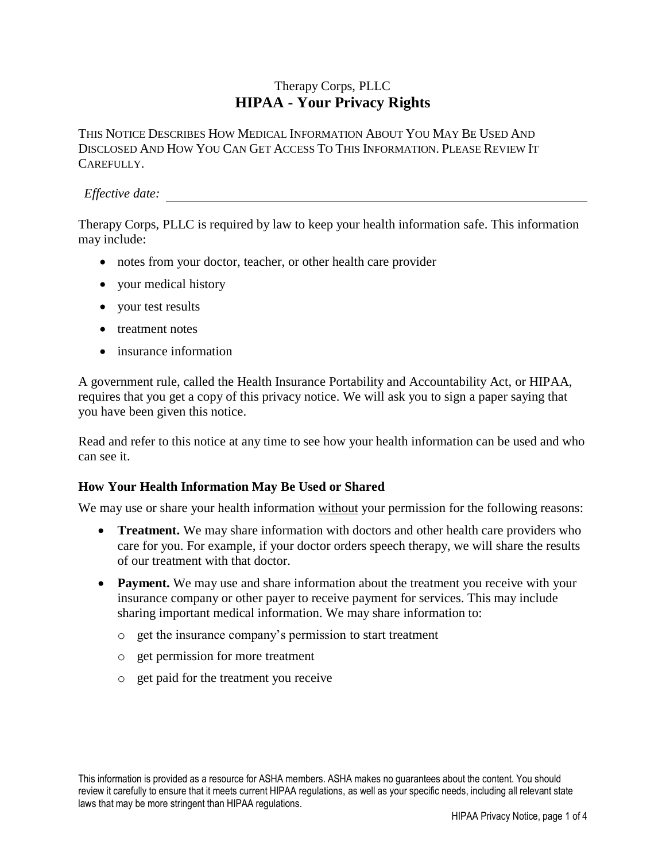# Therapy Corps, PLLC **HIPAA - Your Privacy Rights**

THIS NOTICE DESCRIBES HOW MEDICAL INFORMATION ABOUT YOU MAY BE USED AND DISCLOSED AND HOW YOU CAN GET ACCESS TO THIS INFORMATION. PLEASE REVIEW IT CAREFULLY.

#### *Effective date:*

Therapy Corps, PLLC is required by law to keep your health information safe. This information may include:

- notes from your doctor, teacher, or other health care provider
- your medical history
- your test results
- treatment notes
- insurance information

A government rule, called the Health Insurance Portability and Accountability Act, or HIPAA, requires that you get a copy of this privacy notice. We will ask you to sign a paper saying that you have been given this notice.

Read and refer to this notice at any time to see how your health information can be used and who can see it.

### **How Your Health Information May Be Used or Shared**

We may use or share your health information without your permission for the following reasons:

- **Treatment.** We may share information with doctors and other health care providers who care for you. For example, if your doctor orders speech therapy, we will share the results of our treatment with that doctor.
- **Payment.** We may use and share information about the treatment you receive with your insurance company or other payer to receive payment for services. This may include sharing important medical information. We may share information to:
	- o get the insurance company's permission to start treatment
	- o get permission for more treatment
	- o get paid for the treatment you receive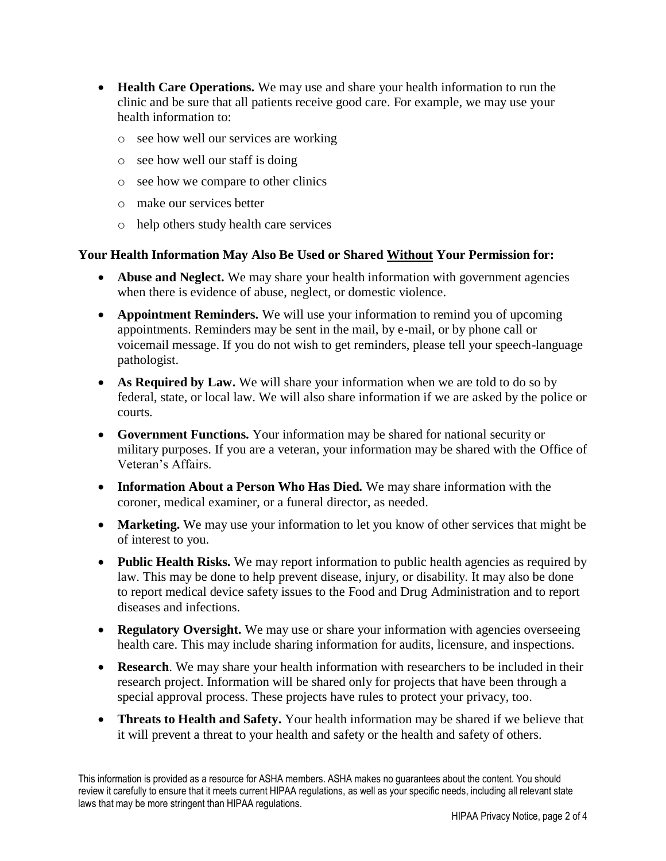- **Health Care Operations.** We may use and share your health information to run the clinic and be sure that all patients receive good care. For example, we may use your health information to:
	- o see how well our services are working
	- o see how well our staff is doing
	- o see how we compare to other clinics
	- o make our services better
	- o help others study health care services

#### **Your Health Information May Also Be Used or Shared Without Your Permission for:**

- **Abuse and Neglect.** We may share your health information with government agencies when there is evidence of abuse, neglect, or domestic violence.
- **Appointment Reminders.** We will use your information to remind you of upcoming appointments. Reminders may be sent in the mail, by e-mail, or by phone call or voicemail message. If you do not wish to get reminders, please tell your speech-language pathologist.
- As Required by Law. We will share your information when we are told to do so by federal, state, or local law. We will also share information if we are asked by the police or courts.
- **Government Functions.** Your information may be shared for national security or military purposes. If you are a veteran, your information may be shared with the Office of Veteran's Affairs.
- **Information About a Person Who Has Died.** We may share information with the coroner, medical examiner, or a funeral director, as needed.
- **Marketing.** We may use your information to let you know of other services that might be of interest to you.
- **Public Health Risks.** We may report information to public health agencies as required by law. This may be done to help prevent disease, injury, or disability. It may also be done to report medical device safety issues to the Food and Drug Administration and to report diseases and infections.
- **Regulatory Oversight.** We may use or share your information with agencies overseeing health care. This may include sharing information for audits, licensure, and inspections.
- **Research**. We may share your health information with researchers to be included in their research project. Information will be shared only for projects that have been through a special approval process. These projects have rules to protect your privacy, too.
- **Threats to Health and Safety.** Your health information may be shared if we believe that it will prevent a threat to your health and safety or the health and safety of others.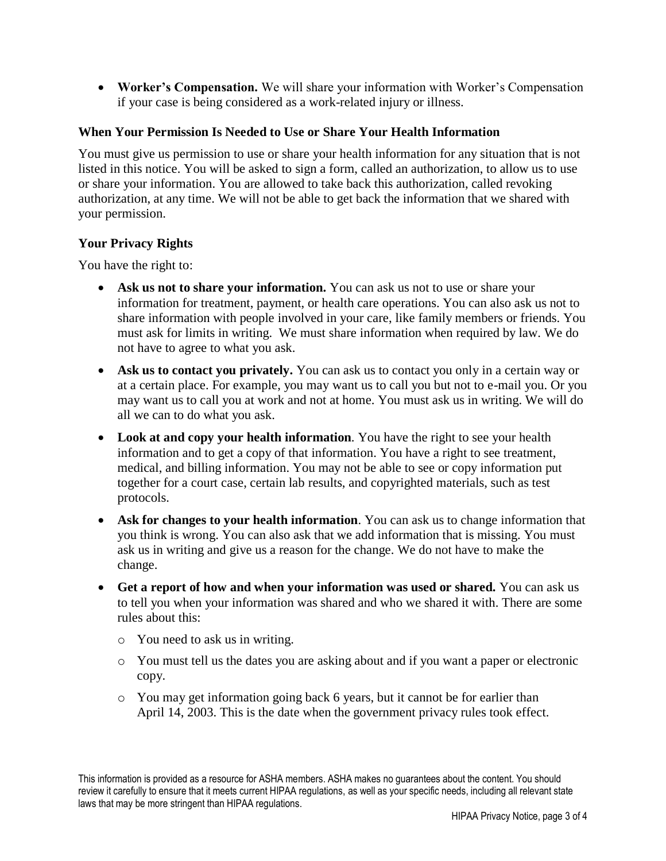• **Worker's Compensation.** We will share your information with Worker's Compensation if your case is being considered as a work-related injury or illness.

### **When Your Permission Is Needed to Use or Share Your Health Information**

You must give us permission to use or share your health information for any situation that is not listed in this notice. You will be asked to sign a form, called an authorization, to allow us to use or share your information. You are allowed to take back this authorization, called revoking authorization, at any time. We will not be able to get back the information that we shared with your permission.

# **Your Privacy Rights**

You have the right to:

- Ask us not to share your information. You can ask us not to use or share your information for treatment, payment, or health care operations. You can also ask us not to share information with people involved in your care, like family members or friends. You must ask for limits in writing. We must share information when required by law. We do not have to agree to what you ask.
- Ask us to contact you privately. You can ask us to contact you only in a certain way or at a certain place. For example, you may want us to call you but not to e-mail you. Or you may want us to call you at work and not at home. You must ask us in writing. We will do all we can to do what you ask.
- **Look at and copy your health information**. You have the right to see your health information and to get a copy of that information. You have a right to see treatment, medical, and billing information. You may not be able to see or copy information put together for a court case, certain lab results, and copyrighted materials, such as test protocols.
- **Ask for changes to your health information**. You can ask us to change information that you think is wrong. You can also ask that we add information that is missing. You must ask us in writing and give us a reason for the change. We do not have to make the change.
- **Get a report of how and when your information was used or shared.** You can ask us to tell you when your information was shared and who we shared it with. There are some rules about this:
	- o You need to ask us in writing.
	- o You must tell us the dates you are asking about and if you want a paper or electronic copy.
	- o You may get information going back 6 years, but it cannot be for earlier than April 14, 2003. This is the date when the government privacy rules took effect.